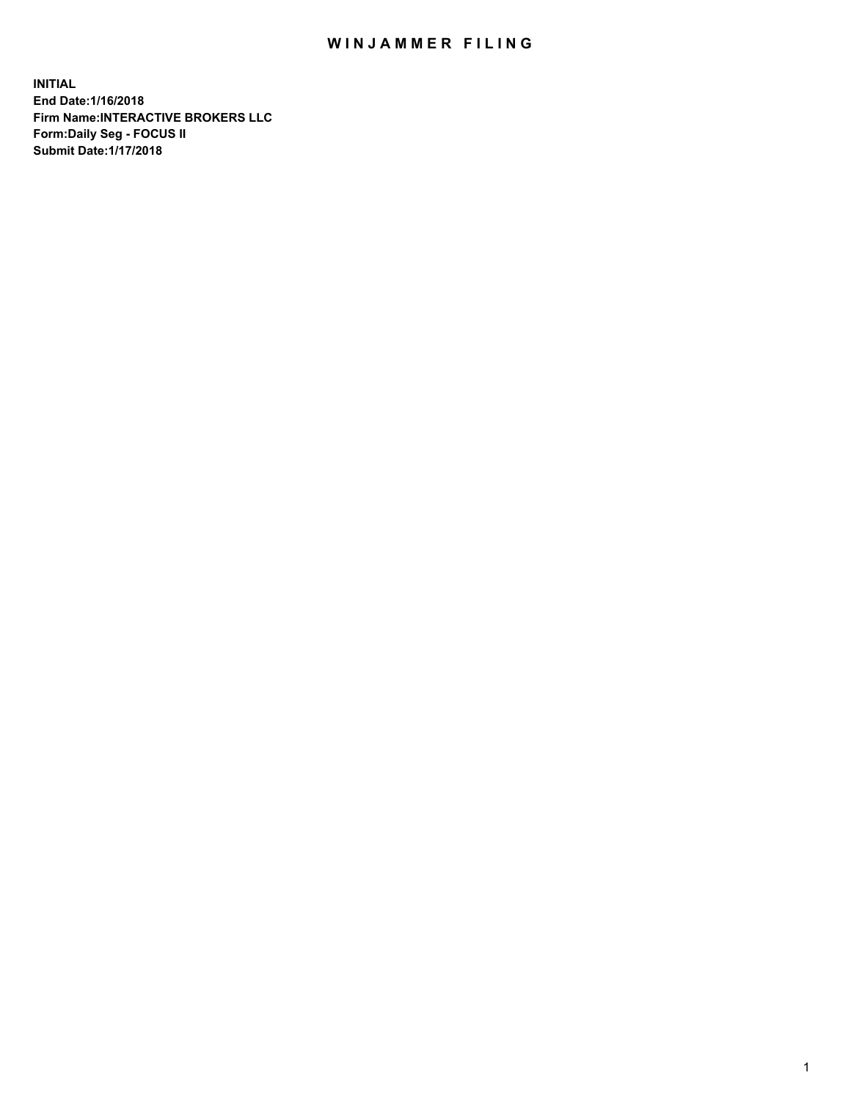## WIN JAMMER FILING

**INITIAL End Date:1/16/2018 Firm Name:INTERACTIVE BROKERS LLC Form:Daily Seg - FOCUS II Submit Date:1/17/2018**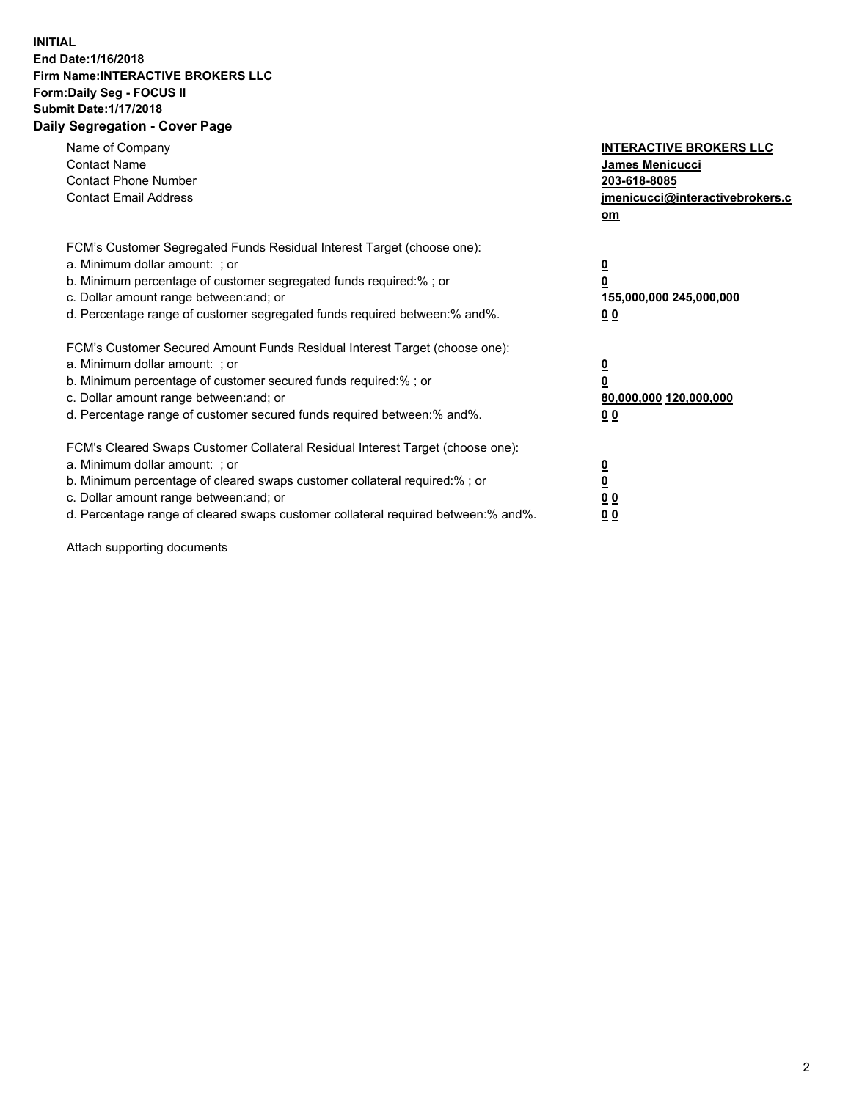## **INITIAL End Date:1/16/2018 Firm Name:INTERACTIVE BROKERS LLC Form:Daily Seg - FOCUS II Submit Date:1/17/2018 Daily Segregation - Cover Page**

| Name of Company<br><b>Contact Name</b><br><b>Contact Phone Number</b>                                                                                                                                                                                                                                                          | <b>INTERACTIVE BROKERS LLC</b><br><b>James Menicucci</b><br>203-618-8085                        |
|--------------------------------------------------------------------------------------------------------------------------------------------------------------------------------------------------------------------------------------------------------------------------------------------------------------------------------|-------------------------------------------------------------------------------------------------|
| <b>Contact Email Address</b>                                                                                                                                                                                                                                                                                                   | jmenicucci@interactivebrokers.c<br>om                                                           |
| FCM's Customer Segregated Funds Residual Interest Target (choose one):<br>a. Minimum dollar amount: ; or<br>b. Minimum percentage of customer segregated funds required:% ; or<br>c. Dollar amount range between: and; or<br>d. Percentage range of customer segregated funds required between:% and%.                         | $\overline{\mathbf{0}}$<br>$\overline{\mathbf{0}}$<br>155,000,000 245,000,000<br>0 <sub>0</sub> |
| FCM's Customer Secured Amount Funds Residual Interest Target (choose one):<br>a. Minimum dollar amount: ; or<br>b. Minimum percentage of customer secured funds required:%; or<br>c. Dollar amount range between: and; or<br>d. Percentage range of customer secured funds required between: % and %.                          | $\overline{\mathbf{0}}$<br>$\overline{\mathbf{0}}$<br>80,000,000 120,000,000<br>0 <sub>0</sub>  |
| FCM's Cleared Swaps Customer Collateral Residual Interest Target (choose one):<br>a. Minimum dollar amount: ; or<br>b. Minimum percentage of cleared swaps customer collateral required:% ; or<br>c. Dollar amount range between: and; or<br>d. Percentage range of cleared swaps customer collateral required between:% and%. | $\overline{\mathbf{0}}$<br>$\underline{\mathbf{0}}$<br>0 <sub>0</sub><br>0 <sup>0</sup>         |

Attach supporting documents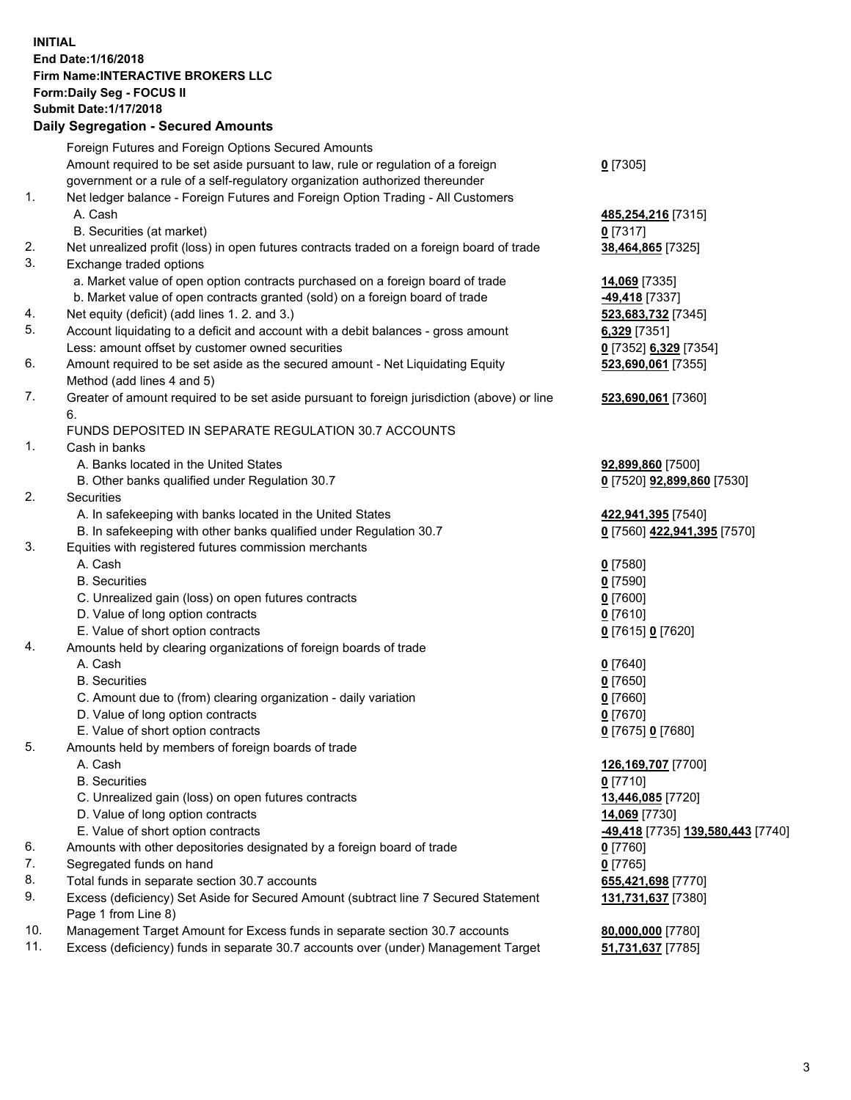## **INITIAL End Date:1/16/2018 Firm Name:INTERACTIVE BROKERS LLC Form:Daily Seg - FOCUS II Submit Date:1/17/2018 Daily Segregation - Secured Amounts**

|                | Daily Jegregation - Jeculed Aniounts                                                        |                                                |
|----------------|---------------------------------------------------------------------------------------------|------------------------------------------------|
|                | Foreign Futures and Foreign Options Secured Amounts                                         |                                                |
|                | Amount required to be set aside pursuant to law, rule or regulation of a foreign            | $0$ [7305]                                     |
|                | government or a rule of a self-regulatory organization authorized thereunder                |                                                |
| 1.             | Net ledger balance - Foreign Futures and Foreign Option Trading - All Customers             |                                                |
|                | A. Cash                                                                                     | 485,254,216 [7315]                             |
|                | B. Securities (at market)                                                                   | $0$ [7317]                                     |
| 2.             | Net unrealized profit (loss) in open futures contracts traded on a foreign board of trade   | 38,464,865 [7325]                              |
| 3.             | Exchange traded options                                                                     |                                                |
|                | a. Market value of open option contracts purchased on a foreign board of trade              | 14,069 [7335]                                  |
|                | b. Market value of open contracts granted (sold) on a foreign board of trade                | -49,418 [7337]                                 |
| 4.             | Net equity (deficit) (add lines 1.2. and 3.)                                                | 523,683,732 [7345]                             |
| 5.             | Account liquidating to a deficit and account with a debit balances - gross amount           | $6,329$ [7351]                                 |
|                | Less: amount offset by customer owned securities                                            | 0 [7352] 6,329 [7354]                          |
| 6.             | Amount required to be set aside as the secured amount - Net Liquidating Equity              | 523,690,061 [7355]                             |
|                | Method (add lines 4 and 5)                                                                  |                                                |
| 7.             | Greater of amount required to be set aside pursuant to foreign jurisdiction (above) or line | 523,690,061 [7360]                             |
|                | 6.                                                                                          |                                                |
|                | FUNDS DEPOSITED IN SEPARATE REGULATION 30.7 ACCOUNTS                                        |                                                |
| 1 <sub>1</sub> | Cash in banks                                                                               |                                                |
|                | A. Banks located in the United States                                                       | 92,899,860 [7500]                              |
|                | B. Other banks qualified under Regulation 30.7                                              | 0 [7520] 92,899,860 [7530]                     |
| 2.             | Securities                                                                                  |                                                |
|                | A. In safekeeping with banks located in the United States                                   | 422,941,395 [7540]                             |
|                | B. In safekeeping with other banks qualified under Regulation 30.7                          | 0 [7560] 422,941,395 [7570]                    |
| 3.             | Equities with registered futures commission merchants                                       |                                                |
|                | A. Cash                                                                                     | $0$ [7580]                                     |
|                | <b>B.</b> Securities                                                                        | $0$ [7590]                                     |
|                | C. Unrealized gain (loss) on open futures contracts                                         | $0$ [7600]                                     |
|                | D. Value of long option contracts                                                           | $0$ [7610]                                     |
|                | E. Value of short option contracts                                                          | 0 [7615] 0 [7620]                              |
| 4.             | Amounts held by clearing organizations of foreign boards of trade                           |                                                |
|                | A. Cash                                                                                     | $0$ [7640]                                     |
|                | <b>B.</b> Securities                                                                        | $0$ [7650]                                     |
|                | C. Amount due to (from) clearing organization - daily variation                             | $0$ [7660]                                     |
|                | D. Value of long option contracts                                                           | $0$ [7670]                                     |
|                | E. Value of short option contracts                                                          | 0 [7675] 0 [7680]                              |
| 5.             | Amounts held by members of foreign boards of trade                                          |                                                |
|                | A. Cash                                                                                     | 126,169,707 [7700]                             |
|                | <b>B.</b> Securities                                                                        | $0$ [7710]                                     |
|                | C. Unrealized gain (loss) on open futures contracts                                         | 13,446,085 [7720]                              |
|                | D. Value of long option contracts                                                           | 14,069 [7730]                                  |
|                | E. Value of short option contracts                                                          | <mark>-49,418</mark> [7735] 139,580,443 [7740] |
| 6.             | Amounts with other depositories designated by a foreign board of trade                      | $0$ [7760]                                     |
| 7.             | Segregated funds on hand                                                                    | $0$ [7765]                                     |
| 8.             | Total funds in separate section 30.7 accounts                                               | 655,421,698 [7770]                             |
| 9.             | Excess (deficiency) Set Aside for Secured Amount (subtract line 7 Secured Statement         | 131,731,637 [7380]                             |
|                | Page 1 from Line 8)                                                                         |                                                |
| 10.            | Management Target Amount for Excess funds in separate section 30.7 accounts                 | 80,000,000 [7780]                              |
| 11.            | Excess (deficiency) funds in separate 30.7 accounts over (under) Management Target          | 51,731,637 [7785]                              |
|                |                                                                                             |                                                |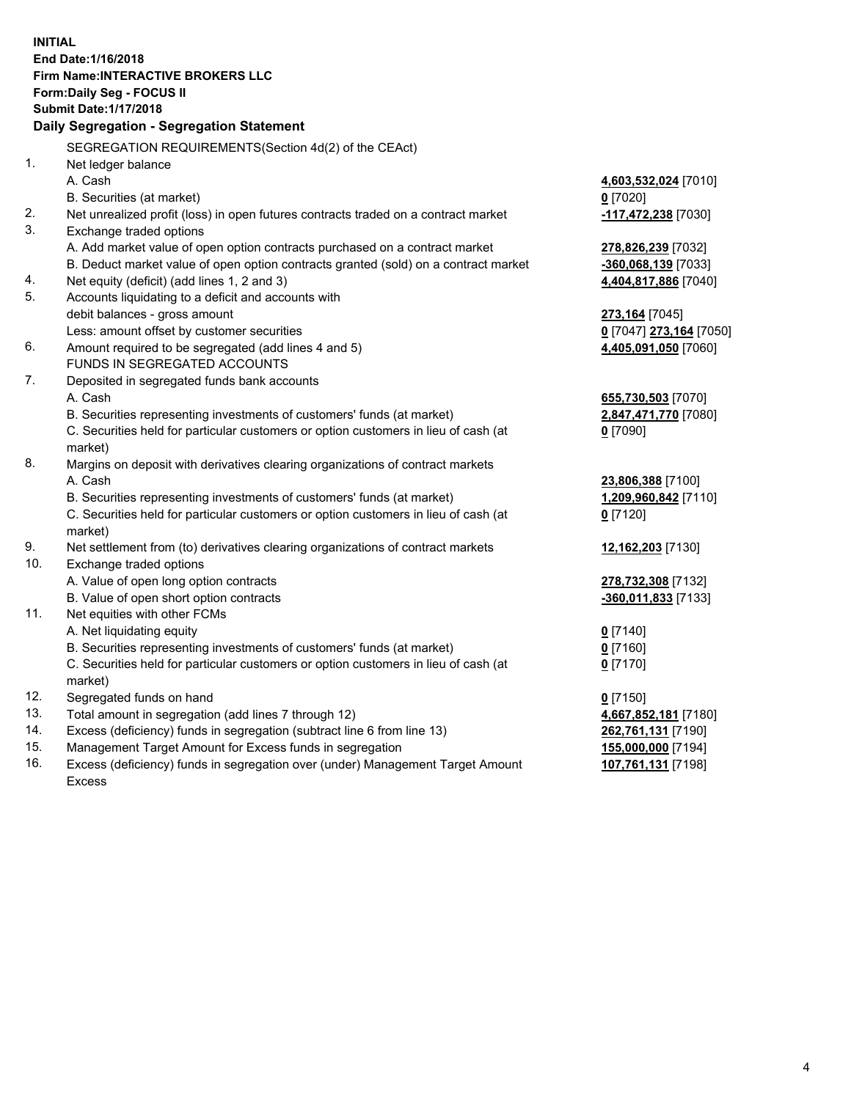**INITIAL End Date:1/16/2018 Firm Name:INTERACTIVE BROKERS LLC Form:Daily Seg - FOCUS II Submit Date:1/17/2018 Daily Segregation - Segregation Statement** SEGREGATION REQUIREMENTS(Section 4d(2) of the CEAct) 1. Net ledger balance A. Cash **4,603,532,024** [7010] B. Securities (at market) **0** [7020] 2. Net unrealized profit (loss) in open futures contracts traded on a contract market **-117,472,238** [7030] 3. Exchange traded options A. Add market value of open option contracts purchased on a contract market **278,826,239** [7032] B. Deduct market value of open option contracts granted (sold) on a contract market **-360,068,139** [7033] 4. Net equity (deficit) (add lines 1, 2 and 3) **4,404,817,886** [7040] 5. Accounts liquidating to a deficit and accounts with debit balances - gross amount **273,164** [7045] Less: amount offset by customer securities **0** [7047] **273,164** [7050] 6. Amount required to be segregated (add lines 4 and 5) **4,405,091,050** [7060] FUNDS IN SEGREGATED ACCOUNTS 7. Deposited in segregated funds bank accounts A. Cash **655,730,503** [7070] B. Securities representing investments of customers' funds (at market) **2,847,471,770** [7080] C. Securities held for particular customers or option customers in lieu of cash (at market) **0** [7090] 8. Margins on deposit with derivatives clearing organizations of contract markets A. Cash **23,806,388** [7100] B. Securities representing investments of customers' funds (at market) **1,209,960,842** [7110] C. Securities held for particular customers or option customers in lieu of cash (at market) **0** [7120] 9. Net settlement from (to) derivatives clearing organizations of contract markets **12,162,203** [7130] 10. Exchange traded options A. Value of open long option contracts **278,732,308** [7132] B. Value of open short option contracts **-360,011,833** [7133] 11. Net equities with other FCMs A. Net liquidating equity **0** [7140] B. Securities representing investments of customers' funds (at market) **0** [7160] C. Securities held for particular customers or option customers in lieu of cash (at market) **0** [7170] 12. Segregated funds on hand **0** [7150] 13. Total amount in segregation (add lines 7 through 12) **4,667,852,181** [7180] 14. Excess (deficiency) funds in segregation (subtract line 6 from line 13) **262,761,131** [7190] 15. Management Target Amount for Excess funds in segregation **155,000,000** [7194] **107,761,131** [7198]

16. Excess (deficiency) funds in segregation over (under) Management Target Amount Excess